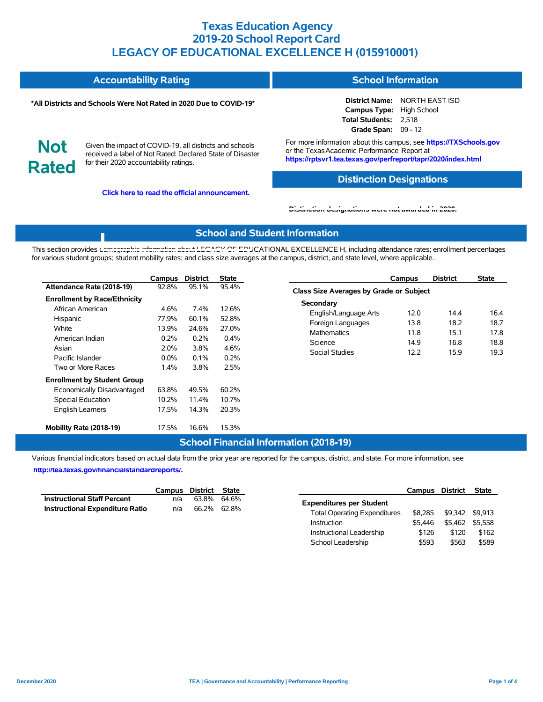| <b>Accountability Rating</b> | <b>School Information</b> |
|------------------------------|---------------------------|
|------------------------------|---------------------------|

#### **\*All Districts and Schools Were Not Rated in 2020 Due to COVID-19\***

**District Name:** NORTH EAST ISD **Campus Type:** High School **Total Students:** 2,518 **Grade Span:** 09 - 12

**Not Rated**

Given the impact of COVID-19, all districts and schools received a label of Not Rated: Declared State of Disaster for their 2020 accountability ratings.

**Click here to read the official announcement.**

For more information about this campus, see **https://TXSchools.gov** or the Texas Academic Performance Report at **https://rptsvr1.tea.texas.gov/perfreport/tapr/2020/index.html**

### **Distinction Designations**

**[Distinction designations were not awarded in 2020.](https://rptsvr1.tea.texas.gov/perfreport/tapr/2020/index.html)**

### **School and Student Information**

This section provides [demographic information about LEGACY OF EDU](https://tea.texas.gov/about-tea/news-and-multimedia/correspondence/taa-letters/every-student-succeeds-act-essa-waiver-approval-2020-state-academic-accountability)CATIONAL EXCELLENCE H, including attendance rates; enrollment percentages for various student groups; student mobility rates; and class size averages at the campus, district, and state level, where applicable.

|                                     | Campus  | <b>District</b> | State   |
|-------------------------------------|---------|-----------------|---------|
| Attendance Rate (2018-19)           | 92.8%   | 95.1%           | 95.4%   |
| <b>Enrollment by Race/Ethnicity</b> |         |                 |         |
| African American                    | 4.6%    | $7.4\%$         | 12.6%   |
| Hispanic                            | 77.9%   | 60.1%           | 52.8%   |
| White                               | 13.9%   | 24.6%           | 27.0%   |
| American Indian                     | $0.2\%$ | 0.2%            | $0.4\%$ |
| Asian                               | $2.0\%$ | 3.8%            | 4.6%    |
| Pacific Islander                    | $0.0\%$ | $0.1\%$         | 0.2%    |
| Two or More Races                   | $1.4\%$ | 3.8%            | 2.5%    |
| <b>Enrollment by Student Group</b>  |         |                 |         |
| Economically Disadvantaged          | 63.8%   | 49.5%           | 60.2%   |
| Special Education                   | 10.2%   | 11.4%           | 10.7%   |
| <b>English Learners</b>             | 17.5%   | 14.3%           | 20.3%   |
| Mobility Rate (2018-19)             | 17.5%   | 16.6%           | 15.3%   |

|                                                | Campus | <b>District</b> | <b>State</b> |  |  |  |  |  |  |
|------------------------------------------------|--------|-----------------|--------------|--|--|--|--|--|--|
| <b>Class Size Averages by Grade or Subject</b> |        |                 |              |  |  |  |  |  |  |
| Secondary                                      |        |                 |              |  |  |  |  |  |  |
| English/Language Arts                          | 12.0   | 144             | 16.4         |  |  |  |  |  |  |
| Foreign Languages                              | 13.8   | 18.2            | 18.7         |  |  |  |  |  |  |
| <b>Mathematics</b>                             | 11.8   | 151             | 17.8         |  |  |  |  |  |  |
| Science                                        | 14.9   | 16.8            | 18.8         |  |  |  |  |  |  |
| Social Studies                                 | 12.2   | 15.9            | 19.3         |  |  |  |  |  |  |
|                                                |        |                 |              |  |  |  |  |  |  |

Instructional Leadership \$126 \$120 \$162 School Leadership \$593 \$563 \$589

### **School Financial Information (2018-19)**

Various financial indicators based on actual data from the prior year are reported for the campus, district, and state. For more information, see

**[http://tea.texas.gov/financialstandardreports/.](http://tea.texas.gov/financialstandardreports/)**

|                                        |     | Campus District State |                                                | Campus District | State |
|----------------------------------------|-----|-----------------------|------------------------------------------------|-----------------|-------|
| <b>Instructional Staff Percent</b>     | n/a | 63.8% 64.6%           | <b>Expenditures per Student</b>                |                 |       |
| <b>Instructional Expenditure Ratio</b> | n/a | 66.2% 62.8%           | \$8.285<br><b>Total Operating Expenditures</b> | \$9,342 \$9,913 |       |
|                                        |     |                       | \$5.446<br>Instruction                         | \$5,462 \$5,558 |       |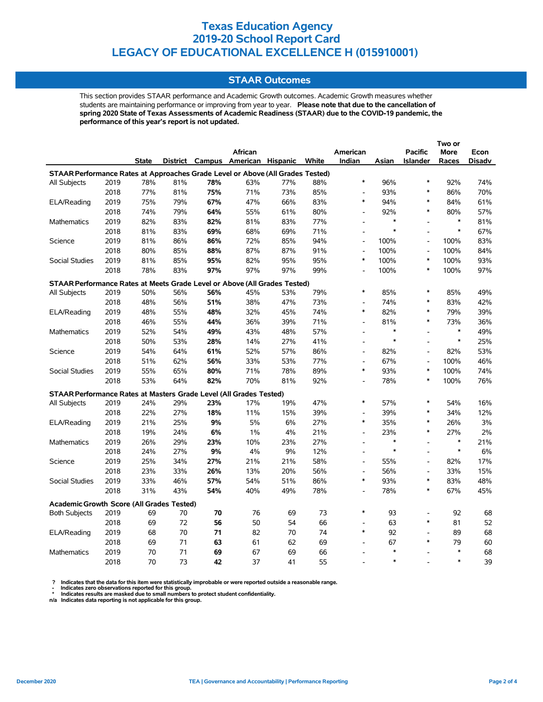### **STAAR Outcomes**

This section provides STAAR performance and Academic Growth outcomes. Academic Growth measures whether students are maintaining performance or improving from year to year. **Please note that due to the cancellation of spring 2020 State of Texas Assessments of Academic Readiness (STAAR) due to the COVID-19 pandemic, the performance of this year's report is not updated.**

|                                                                                |      |              |     |     | <b>African</b>                    |     |       | American                 |        | <b>Pacific</b>  | More   | Econ          |
|--------------------------------------------------------------------------------|------|--------------|-----|-----|-----------------------------------|-----|-------|--------------------------|--------|-----------------|--------|---------------|
|                                                                                |      | <b>State</b> |     |     | District Campus American Hispanic |     | White | Indian                   | Asian  | <b>Islander</b> | Races  | <b>Disadv</b> |
| STAAR Performance Rates at Approaches Grade Level or Above (All Grades Tested) |      |              |     |     |                                   |     |       |                          |        |                 |        |               |
| All Subjects                                                                   | 2019 | 78%          | 81% | 78% | 63%                               | 77% | 88%   | $\ast$                   | 96%    | $\ast$          | 92%    | 74%           |
|                                                                                | 2018 | 77%          | 81% | 75% | 71%                               | 73% | 85%   | $\overline{\phantom{a}}$ | 93%    | $\ast$          | 86%    | 70%           |
| ELA/Reading                                                                    | 2019 | 75%          | 79% | 67% | 47%                               | 66% | 83%   | $\ast$                   | 94%    | *               | 84%    | 61%           |
|                                                                                | 2018 | 74%          | 79% | 64% | 55%                               | 61% | 80%   | $\overline{\phantom{a}}$ | 92%    | *               | 80%    | 57%           |
| <b>Mathematics</b>                                                             | 2019 | 82%          | 83% | 82% | 81%                               | 83% | 77%   | $\blacksquare$           | $\ast$ | $\overline{a}$  | $\ast$ | 81%           |
|                                                                                | 2018 | 81%          | 83% | 69% | 68%                               | 69% | 71%   | $\overline{\phantom{a}}$ | $\ast$ | $\overline{a}$  | $\ast$ | 67%           |
| Science                                                                        | 2019 | 81%          | 86% | 86% | 72%                               | 85% | 94%   | $\overline{\phantom{a}}$ | 100%   | $\overline{a}$  | 100%   | 83%           |
|                                                                                | 2018 | 80%          | 85% | 88% | 87%                               | 87% | 91%   | $\overline{\phantom{a}}$ | 100%   | $\overline{a}$  | 100%   | 84%           |
| <b>Social Studies</b>                                                          | 2019 | 81%          | 85% | 95% | 82%                               | 95% | 95%   | $\ast$                   | 100%   | $\ast$          | 100%   | 93%           |
|                                                                                | 2018 | 78%          | 83% | 97% | 97%                               | 97% | 99%   | $\overline{a}$           | 100%   | $\ast$          | 100%   | 97%           |
| STAAR Performance Rates at Meets Grade Level or Above (All Grades Tested)      |      |              |     |     |                                   |     |       |                          |        |                 |        |               |
| All Subjects                                                                   | 2019 | 50%          | 56% | 56% | 45%                               | 53% | 79%   | $\ast$                   | 85%    | $\ast$          | 85%    | 49%           |
|                                                                                | 2018 | 48%          | 56% | 51% | 38%                               | 47% | 73%   | $\overline{a}$           | 74%    | $\ast$          | 83%    | 42%           |
| ELA/Reading                                                                    | 2019 | 48%          | 55% | 48% | 32%                               | 45% | 74%   | $\ast$                   | 82%    | $\ast$          | 79%    | 39%           |
|                                                                                | 2018 | 46%          | 55% | 44% | 36%                               | 39% | 71%   | $\overline{a}$           | 81%    | $\ast$          | 73%    | 36%           |
| Mathematics                                                                    | 2019 | 52%          | 54% | 49% | 43%                               | 48% | 57%   | $\overline{a}$           | $\ast$ | $\overline{a}$  | $\ast$ | 49%           |
|                                                                                | 2018 | 50%          | 53% | 28% | 14%                               | 27% | 41%   | $\overline{\phantom{a}}$ | $\ast$ | $\overline{a}$  | $\ast$ | 25%           |
| Science                                                                        | 2019 | 54%          | 64% | 61% | 52%                               | 57% | 86%   | $\overline{\phantom{a}}$ | 82%    | $\overline{a}$  | 82%    | 53%           |
|                                                                                | 2018 | 51%          | 62% | 56% | 33%                               | 53% | 77%   | $\overline{\phantom{a}}$ | 67%    | $\overline{a}$  | 100%   | 46%           |
| <b>Social Studies</b>                                                          | 2019 | 55%          | 65% | 80% | 71%                               | 78% | 89%   | $\ast$                   | 93%    | $\ast$          | 100%   | 74%           |
|                                                                                | 2018 | 53%          | 64% | 82% | 70%                               | 81% | 92%   | $\overline{\phantom{a}}$ | 78%    | $\ast$          | 100%   | 76%           |
| STAAR Performance Rates at Masters Grade Level (All Grades Tested)             |      |              |     |     |                                   |     |       |                          |        |                 |        |               |
| All Subjects                                                                   | 2019 | 24%          | 29% | 23% | 17%                               | 19% | 47%   | $\ast$                   | 57%    | $\ast$          | 54%    | 16%           |
|                                                                                | 2018 | 22%          | 27% | 18% | 11%                               | 15% | 39%   | $\overline{\phantom{a}}$ | 39%    | *               | 34%    | 12%           |
| ELA/Reading                                                                    | 2019 | 21%          | 25% | 9%  | 5%                                | 6%  | 27%   | $\ast$                   | 35%    | *               | 26%    | 3%            |
|                                                                                | 2018 | 19%          | 24% | 6%  | $1\%$                             | 4%  | 21%   | $\overline{\phantom{a}}$ | 23%    | $\ast$          | 27%    | 2%            |
| <b>Mathematics</b>                                                             | 2019 | 26%          | 29% | 23% | 10%                               | 23% | 27%   | $\overline{a}$           | $\ast$ | $\overline{a}$  | $\ast$ | 21%           |
|                                                                                | 2018 | 24%          | 27% | 9%  | 4%                                | 9%  | 12%   | $\overline{\phantom{a}}$ | $\ast$ | $\overline{a}$  | $\ast$ | 6%            |
| Science                                                                        | 2019 | 25%          | 34% | 27% | 21%                               | 21% | 58%   | $\overline{\phantom{a}}$ | 55%    | $\overline{a}$  | 82%    | 17%           |
|                                                                                | 2018 | 23%          | 33% | 26% | 13%                               | 20% | 56%   | $\overline{\phantom{a}}$ | 56%    | $\overline{a}$  | 33%    | 15%           |
| Social Studies                                                                 | 2019 | 33%          | 46% | 57% | 54%                               | 51% | 86%   | $\ast$                   | 93%    | *               | 83%    | 48%           |
|                                                                                | 2018 | 31%          | 43% | 54% | 40%                               | 49% | 78%   | $\overline{a}$           | 78%    | $\ast$          | 67%    | 45%           |
| <b>Academic Growth Score (All Grades Tested)</b>                               |      |              |     |     |                                   |     |       |                          |        |                 |        |               |
| <b>Both Subjects</b>                                                           | 2019 | 69           | 70  | 70  | 76                                | 69  | 73    | $\ast$                   | 93     | $\overline{a}$  | 92     | 68            |
|                                                                                | 2018 | 69           | 72  | 56  | 50                                | 54  | 66    | $\overline{\phantom{a}}$ | 63     | $\ast$          | 81     | 52            |
| ELA/Reading                                                                    | 2019 | 68           | 70  | 71  | 82                                | 70  | 74    | $\ast$                   | 92     | $\overline{a}$  | 89     | 68            |
|                                                                                | 2018 | 69           | 71  | 63  | 61                                | 62  | 69    | $\overline{a}$           | 67     | $\ast$          | 79     | 60            |
| <b>Mathematics</b>                                                             | 2019 | 70           | 71  | 69  | 67                                | 69  | 66    | $\overline{\phantom{a}}$ | $\ast$ |                 | $\ast$ | 68            |
|                                                                                | 2018 | 70           | 73  | 42  | 37                                | 41  | 55    |                          | $\ast$ |                 | $\ast$ | 39            |

? Indicates that the data for this item were statistically improbable or were reported outside a reasonable range.<br>- Indicates zero observations reported for this group.<br>\* Indicates results are masked due to small numbers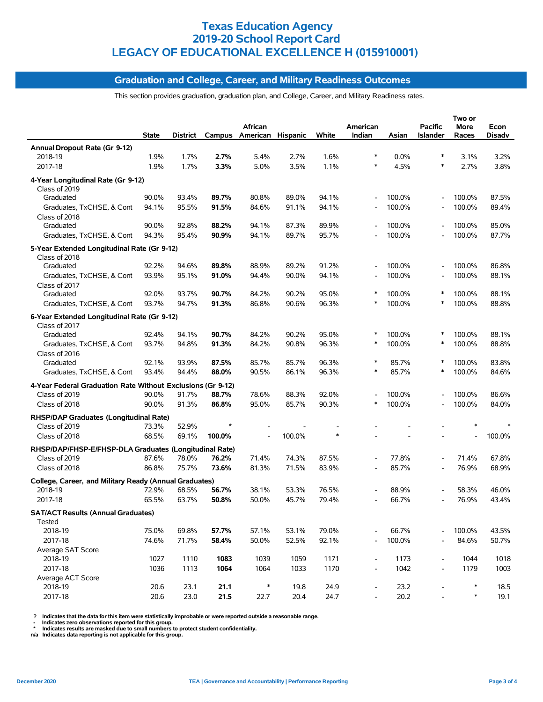## **Graduation and College, Career, and Military Readiness Outcomes**

This section provides graduation, graduation plan, and College, Career, and Military Readiness rates.

|                                                             | <b>State</b> | District |        | African<br>Campus American Hispanic |        | White  | American<br>Indian           | Asian  | <b>Pacific</b><br><b>Islander</b> | Two or<br>More<br>Races | Econ<br>Disadv |
|-------------------------------------------------------------|--------------|----------|--------|-------------------------------------|--------|--------|------------------------------|--------|-----------------------------------|-------------------------|----------------|
| Annual Dropout Rate (Gr 9-12)                               |              |          |        |                                     |        |        |                              |        |                                   |                         |                |
| 2018-19                                                     | 1.9%         | 1.7%     | 2.7%   | 5.4%                                | 2.7%   | 1.6%   | ∗                            | 0.0%   | ∗                                 | 3.1%                    | 3.2%           |
| 2017-18                                                     | 1.9%         | 1.7%     | 3.3%   | 5.0%                                | 3.5%   | 1.1%   | $\ast$                       | 4.5%   | $\ast$                            | 2.7%                    | 3.8%           |
| 4-Year Longitudinal Rate (Gr 9-12)<br>Class of 2019         |              |          |        |                                     |        |        |                              |        |                                   |                         |                |
| Graduated                                                   | 90.0%        | 93.4%    | 89.7%  | 80.8%                               | 89.0%  | 94.1%  | $\overline{a}$               | 100.0% |                                   | 100.0%                  | 87.5%          |
| Graduates, TxCHSE, & Cont                                   | 94.1%        | 95.5%    | 91.5%  | 84.6%                               | 91.1%  | 94.1%  | ÷,                           | 100.0% |                                   | 100.0%                  | 89.4%          |
| Class of 2018<br>Graduated                                  | 90.0%        | 92.8%    | 88.2%  | 94.1%                               | 87.3%  | 89.9%  |                              | 100.0% |                                   | 100.0%                  | 85.0%          |
| Graduates, TxCHSE, & Cont                                   | 94.3%        | 95.4%    | 90.9%  | 94.1%                               | 89.7%  | 95.7%  |                              | 100.0% |                                   | 100.0%                  | 87.7%          |
| 5-Year Extended Longitudinal Rate (Gr 9-12)                 |              |          |        |                                     |        |        |                              |        |                                   |                         |                |
| Class of 2018<br>Graduated                                  | 92.2%        | 94.6%    | 89.8%  | 88.9%                               | 89.2%  | 91.2%  | Ĭ.                           | 100.0% |                                   | 100.0%                  | 86.8%          |
| Graduates, TxCHSE, & Cont                                   | 93.9%        | 95.1%    | 91.0%  | 94.4%                               | 90.0%  | 94.1%  |                              | 100.0% |                                   | 100.0%                  | 88.1%          |
| Class of 2017                                               |              |          |        |                                     |        |        |                              |        |                                   |                         |                |
| Graduated                                                   | 92.0%        | 93.7%    | 90.7%  | 84.2%                               | 90.2%  | 95.0%  | ∗                            | 100.0% | $\ast$                            | 100.0%                  | 88.1%          |
| Graduates, TxCHSE, & Cont                                   | 93.7%        | 94.7%    | 91.3%  | 86.8%                               | 90.6%  | 96.3%  | ∗                            | 100.0% | $\ast$                            | 100.0%                  | 88.8%          |
| 6-Year Extended Longitudinal Rate (Gr 9-12)                 |              |          |        |                                     |        |        |                              |        |                                   |                         |                |
| Class of 2017                                               |              |          |        |                                     |        |        |                              |        |                                   |                         |                |
| Graduated                                                   | 92.4%        | 94.1%    | 90.7%  | 84.2%                               | 90.2%  | 95.0%  | $\ast$                       | 100.0% | $\ast$                            | 100.0%                  | 88.1%          |
| Graduates, TxCHSE, & Cont                                   | 93.7%        | 94.8%    | 91.3%  | 84.2%                               | 90.8%  | 96.3%  | $\ast$                       | 100.0% | $\ast$                            | 100.0%                  | 88.8%          |
| Class of 2016                                               |              |          |        |                                     |        |        |                              |        |                                   |                         |                |
| Graduated                                                   | 92.1%        | 93.9%    | 87.5%  | 85.7%                               | 85.7%  | 96.3%  | $\ast$                       | 85.7%  |                                   | 100.0%                  | 83.8%          |
| Graduates, TxCHSE, & Cont                                   | 93.4%        | 94.4%    | 88.0%  | 90.5%                               | 86.1%  | 96.3%  | *                            | 85.7%  | $\ast$                            | 100.0%                  | 84.6%          |
| 4-Year Federal Graduation Rate Without Exclusions (Gr 9-12) |              |          |        |                                     |        |        |                              |        |                                   |                         |                |
| Class of 2019                                               | 90.0%        | 91.7%    | 88.7%  | 78.6%                               | 88.3%  | 92.0%  |                              | 100.0% |                                   | 100.0%                  | 86.6%          |
| Class of 2018                                               | 90.0%        | 91.3%    | 86.8%  | 95.0%                               | 85.7%  | 90.3%  | $\ast$                       | 100.0% |                                   | 100.0%                  | 84.0%          |
| RHSP/DAP Graduates (Longitudinal Rate)                      |              |          |        |                                     |        |        |                              |        |                                   |                         |                |
| Class of 2019                                               | 73.3%        | 52.9%    |        |                                     |        |        |                              |        |                                   |                         |                |
| Class of 2018                                               | 68.5%        | 69.1%    | 100.0% |                                     | 100.0% | $\ast$ |                              |        |                                   |                         | 100.0%         |
| RHSP/DAP/FHSP-E/FHSP-DLA Graduates (Longitudinal Rate)      |              |          |        |                                     |        |        |                              |        |                                   |                         |                |
| Class of 2019                                               | 87.6%        | 78.0%    | 76.2%  | 71.4%                               | 74.3%  | 87.5%  | Ĭ.                           | 77.8%  |                                   | 71.4%                   | 67.8%          |
| Class of 2018                                               | 86.8%        | 75.7%    | 73.6%  | 81.3%                               | 71.5%  | 83.9%  | $\overline{\phantom{a}}$     | 85.7%  | $\overline{\phantom{a}}$          | 76.9%                   | 68.9%          |
| College, Career, and Military Ready (Annual Graduates)      |              |          |        |                                     |        |        |                              |        |                                   |                         |                |
| 2018-19                                                     | 72.9%        | 68.5%    | 56.7%  | 38.1%                               | 53.3%  | 76.5%  | $\overline{\phantom{a}}$     | 88.9%  |                                   | 58.3%                   | 46.0%          |
| 2017-18                                                     | 65.5%        | 63.7%    | 50.8%  | 50.0%                               | 45.7%  | 79.4%  |                              | 66.7%  |                                   | 76.9%                   | 43.4%          |
| <b>SAT/ACT Results (Annual Graduates)</b><br>Tested         |              |          |        |                                     |        |        |                              |        |                                   |                         |                |
| 2018-19                                                     | 75.0%        | 69.8%    | 57.7%  | 57.1%                               | 53.1%  | 79.0%  |                              | 66.7%  |                                   | 100.0%                  | 43.5%          |
| 2017-18                                                     | 74.6%        | 71.7%    | 58.4%  | 50.0%                               | 52.5%  | 92.1%  |                              | 100.0% |                                   | 84.6%                   | 50.7%          |
| Average SAT Score                                           |              |          |        |                                     |        |        |                              |        |                                   |                         |                |
| 2018-19                                                     | 1027         | 1110     | 1083   | 1039                                | 1059   | 1171   | $\qquad \qquad \blacksquare$ | 1173   | $\overline{\phantom{a}}$          | 1044                    | 1018           |
| 2017-18                                                     | 1036         | 1113     | 1064   | 1064                                | 1033   | 1170   | $\overline{\phantom{a}}$     | 1042   | $\overline{\phantom{a}}$          | 1179                    | 1003           |
| Average ACT Score                                           |              |          |        |                                     |        |        |                              |        |                                   |                         |                |
| 2018-19                                                     | 20.6         | 23.1     | 21.1   | $\ast$                              | 19.8   | 24.9   |                              | 23.2   |                                   | $\ast$                  | 18.5           |
| 2017-18                                                     | 20.6         | 23.0     | 21.5   | 22.7                                | 20.4   | 24.7   | $\overline{\phantom{a}}$     | 20.2   |                                   | $\ast$                  | 19.1           |

? Indicates that the data for this item were statistically improbable or were reported outside a reasonable range.<br>- Indicates zero observations reported for this group.<br>\* Indicates results are masked due to small numbers